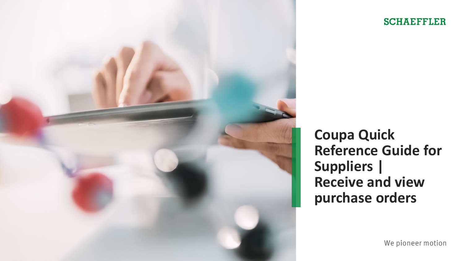

# **SCHAEFFLER**

**Coupa Quick Reference Guide for Suppliers | Receive and view purchase orders**

We pioneer motion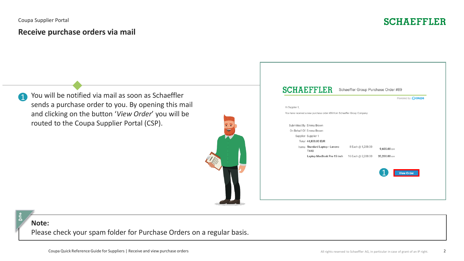# **Receive purchase orders via mail**



You will be notified via mail as soon as Schaeffler sends a purchase order to you. By opening this mail and clicking on the button '*View Order*' you will be routed to the Coupa Supplier Portal (CSP). 4



|                |                                                                           |                    |                   | Powered by <b>Coupa</b> |
|----------------|---------------------------------------------------------------------------|--------------------|-------------------|-------------------------|
| Hi Supplier 1, |                                                                           |                    |                   |                         |
|                | You have received a new purchase order #89 from Schaeffler Group Company. |                    |                   |                         |
|                | Submitted By Emma Brown                                                   |                    |                   |                         |
|                | On Behalf Of Emma Brown                                                   |                    |                   |                         |
|                | Supplier Supplier 1                                                       |                    |                   |                         |
|                | Total 44,800.00 EUR                                                       |                    |                   |                         |
|                | Items Standard Laptop - Lenovo<br>T440                                    | 8 Each @ 1,200.00  | 9,600.00 EUR      |                         |
|                | Laptop MacBook Pro 15 inch                                                | 16 Each @ 2,200.00 | 35,200.00 EUR     |                         |
|                |                                                                           |                    |                   |                         |
|                |                                                                           |                    | <b>View Order</b> |                         |
|                |                                                                           |                    |                   |                         |

### **Note:**

Please check your spam folder for Purchase Orders on a regular basis.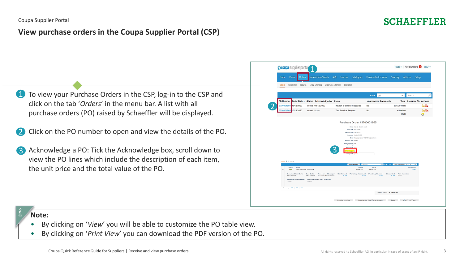# **View purchase orders in the Coupa Supplier Portal (CSP)**

- To view your Purchase Orders in the CSP, log-in to the CSP and click on the tab '*Orders*' in the menu bar. A list with all purchase orders (PO) raised by Schaeffler will be displayed. 1
- Click on the PO number to open and view the details of the PO. 2
- Acknowledge a PO: Tick the Acknowledge box, scroll down to view the PO lines which include the description of each item, the unit price and the total value of the PO. 3

| Profile<br>Home<br><b>Orders</b>                                                                                             | <b>ASN</b><br><b>Service/Time Sheets</b><br>Invoices<br>Catalogues                                                  | Business Performance                                      | Sourcing Add-ons<br>Setup                                           |       |
|------------------------------------------------------------------------------------------------------------------------------|---------------------------------------------------------------------------------------------------------------------|-----------------------------------------------------------|---------------------------------------------------------------------|-------|
| Order lines<br>Returns<br><b>Orders</b>                                                                                      | Order Changes Order Line Changes<br>Deliveries                                                                      |                                                           |                                                                     |       |
|                                                                                                                              |                                                                                                                     |                                                           |                                                                     |       |
|                                                                                                                              |                                                                                                                     |                                                           |                                                                     | Ω     |
|                                                                                                                              |                                                                                                                     | All<br><b>View</b>                                        | Search<br>✓                                                         |       |
| <b>PO Number</b><br>Order Date - Status Acknowledged At Items                                                                |                                                                                                                     | <b>Unanswered Comments</b>                                | <b>Total Assigned To Actions</b>                                    |       |
| 5700001856 08/12/2020<br>Issued 08/12/2020                                                                                   | 3 Each of Smoke Capsules                                                                                            | <b>No</b>                                                 | 600.00 MYR                                                          | t.    |
| 5700001865 10/12/2020<br><b>Issued</b> None                                                                                  | <b>Test Service Request</b>                                                                                         | <b>No</b>                                                 | 6,000.00<br><b>MYR</b>                                              | ëe ëe |
| $=$ Lines                                                                                                                    | Payment Term W030<br><b>Block Electronic No</b><br>Invoicing?<br>Attachments None<br>lged <sub>[]</sub><br>Advanced | Email Coupa.paceuser+35243915@gmail.com<br>Search         | $\overline{P}$ Bort by Line Number: 0 $\rightarrow$ 9<br>$\tilde{}$ |       |
| $\,$ 1 $\,$<br>Type<br>Item<br>$\Box$<br>R63<br><b>Test Service Request</b>                                                  |                                                                                                                     | Price<br>Total<br>6,000.00<br>6,000.00                    | Invoiced<br>O.OO                                                    |       |
| Service Start Date<br>Due Date<br>10/12/2020<br>17/12/2020<br>Manufacturer Name Manufacturer Part Number<br>Norweg<br>Norweg | Resource Manager<br>Confirmed<br><b>Pending Approval</b><br>0.00<br>Reema Raisinghani                               | <b>Pending Rework</b><br><b>Discarded</b><br>0.00<br>0.00 | <b>Part Number</b><br>0.00<br>None                                  |       |
| Per page 15   45   90                                                                                                        |                                                                                                                     |                                                           |                                                                     |       |
|                                                                                                                              |                                                                                                                     | Total MYR 6,000.00                                        |                                                                     |       |

## **Note:**

- By clicking on '*View*' you will be able to customize the PO table view.
- By clicking on '*Print View*' you can download the PDF version of the PO.

**SCHAEFFLER**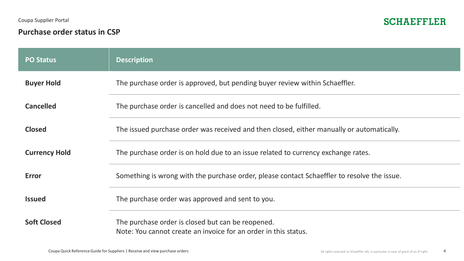Coupa Supplier Portal

# **Purchase order status in CSP**



| <b>PO Status</b>     | <b>Description</b>                                                                                                   |
|----------------------|----------------------------------------------------------------------------------------------------------------------|
| <b>Buyer Hold</b>    | The purchase order is approved, but pending buyer review within Schaeffler.                                          |
| <b>Cancelled</b>     | The purchase order is cancelled and does not need to be fulfilled.                                                   |
| <b>Closed</b>        | The issued purchase order was received and then closed, either manually or automatically.                            |
| <b>Currency Hold</b> | The purchase order is on hold due to an issue related to currency exchange rates.                                    |
| <b>Error</b>         | Something is wrong with the purchase order, please contact Schaeffler to resolve the issue.                          |
| <b>Issued</b>        | The purchase order was approved and sent to you.                                                                     |
| <b>Soft Closed</b>   | The purchase order is closed but can be reopened.<br>Note: You cannot create an invoice for an order in this status. |